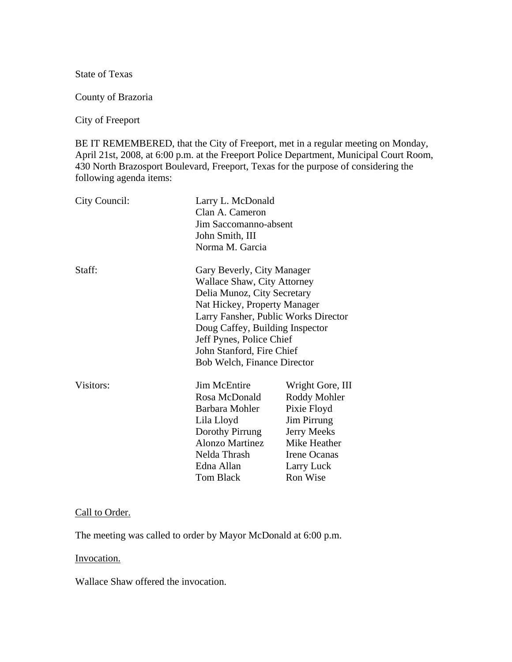State of Texas

County of Brazoria

City of Freeport

BE IT REMEMBERED, that the City of Freeport, met in a regular meeting on Monday, April 21st, 2008, at 6:00 p.m. at the Freeport Police Department, Municipal Court Room, 430 North Brazosport Boulevard, Freeport, Texas for the purpose of considering the following agenda items:

| City Council: | Clan A. Cameron<br>John Smith, III<br>Norma M. Garcia                                                                                                                                                                                                                                              | Larry L. McDonald<br>Jim Saccomanno-absent                                                                                              |  |
|---------------|----------------------------------------------------------------------------------------------------------------------------------------------------------------------------------------------------------------------------------------------------------------------------------------------------|-----------------------------------------------------------------------------------------------------------------------------------------|--|
| Staff:        | Gary Beverly, City Manager<br>Wallace Shaw, City Attorney<br>Delia Munoz, City Secretary<br>Nat Hickey, Property Manager<br>Larry Fansher, Public Works Director<br>Doug Caffey, Building Inspector<br>Jeff Pynes, Police Chief<br>John Stanford, Fire Chief<br><b>Bob Welch, Finance Director</b> |                                                                                                                                         |  |
| Visitors:     | <b>Jim McEntire</b><br>Rosa McDonald<br>Barbara Mohler<br>Lila Lloyd<br>Dorothy Pirrung<br>Alonzo Martinez<br>Nelda Thrash<br>Edna Allan<br><b>Tom Black</b>                                                                                                                                       | Wright Gore, III<br>Roddy Mohler<br>Pixie Floyd<br>Jim Pirrung<br>Jerry Meeks<br>Mike Heather<br>Irene Ocanas<br>Larry Luck<br>Ron Wise |  |

#### Call to Order.

The meeting was called to order by Mayor McDonald at 6:00 p.m.

#### Invocation.

Wallace Shaw offered the invocation.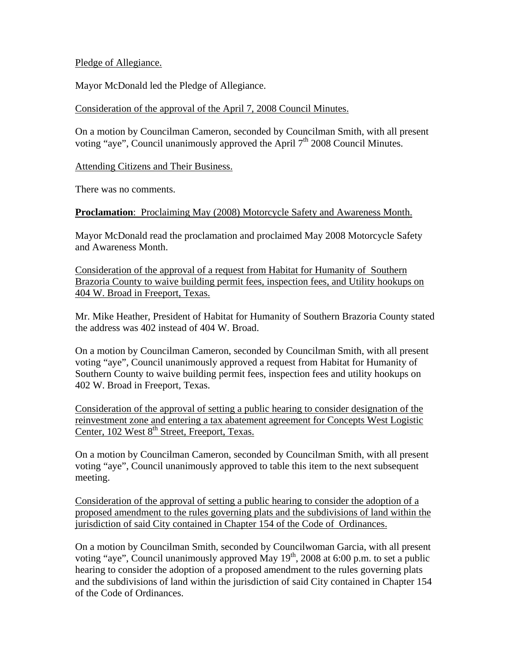## Pledge of Allegiance.

Mayor McDonald led the Pledge of Allegiance.

## Consideration of the approval of the April 7, 2008 Council Minutes.

On a motion by Councilman Cameron, seconded by Councilman Smith, with all present voting "aye", Council unanimously approved the April  $7<sup>th</sup>$  2008 Council Minutes.

Attending Citizens and Their Business.

There was no comments.

### **Proclamation**: Proclaiming May (2008) Motorcycle Safety and Awareness Month.

Mayor McDonald read the proclamation and proclaimed May 2008 Motorcycle Safety and Awareness Month.

Consideration of the approval of a request from Habitat for Humanity of Southern Brazoria County to waive building permit fees, inspection fees, and Utility hookups on 404 W. Broad in Freeport, Texas.

Mr. Mike Heather, President of Habitat for Humanity of Southern Brazoria County stated the address was 402 instead of 404 W. Broad.

On a motion by Councilman Cameron, seconded by Councilman Smith, with all present voting "aye", Council unanimously approved a request from Habitat for Humanity of Southern County to waive building permit fees, inspection fees and utility hookups on 402 W. Broad in Freeport, Texas.

Consideration of the approval of setting a public hearing to consider designation of the reinvestment zone and entering a tax abatement agreement for Concepts West Logistic Center, 102 West 8<sup>th</sup> Street, Freeport, Texas.

On a motion by Councilman Cameron, seconded by Councilman Smith, with all present voting "aye", Council unanimously approved to table this item to the next subsequent meeting.

Consideration of the approval of setting a public hearing to consider the adoption of a proposed amendment to the rules governing plats and the subdivisions of land within the jurisdiction of said City contained in Chapter 154 of the Code of Ordinances.

On a motion by Councilman Smith, seconded by Councilwoman Garcia, with all present voting "aye", Council unanimously approved May  $19<sup>th</sup>$ , 2008 at 6:00 p.m. to set a public hearing to consider the adoption of a proposed amendment to the rules governing plats and the subdivisions of land within the jurisdiction of said City contained in Chapter 154 of the Code of Ordinances.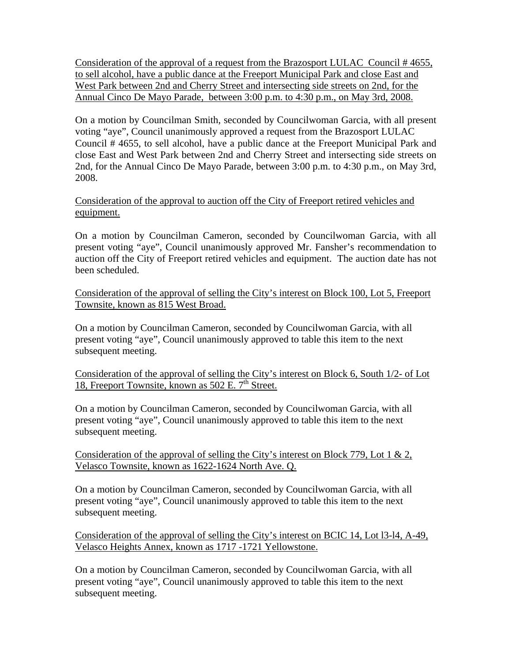Consideration of the approval of a request from the Brazosport LULAC Council # 4655, to sell alcohol, have a public dance at the Freeport Municipal Park and close East and West Park between 2nd and Cherry Street and intersecting side streets on 2nd, for the Annual Cinco De Mayo Parade, between 3:00 p.m. to 4:30 p.m., on May 3rd, 2008.

On a motion by Councilman Smith, seconded by Councilwoman Garcia, with all present voting "aye", Council unanimously approved a request from the Brazosport LULAC Council # 4655, to sell alcohol, have a public dance at the Freeport Municipal Park and close East and West Park between 2nd and Cherry Street and intersecting side streets on 2nd, for the Annual Cinco De Mayo Parade, between 3:00 p.m. to 4:30 p.m., on May 3rd, 2008.

## Consideration of the approval to auction off the City of Freeport retired vehicles and equipment.

On a motion by Councilman Cameron, seconded by Councilwoman Garcia, with all present voting "aye", Council unanimously approved Mr. Fansher's recommendation to auction off the City of Freeport retired vehicles and equipment. The auction date has not been scheduled.

Consideration of the approval of selling the City's interest on Block 100, Lot 5, Freeport Townsite, known as 815 West Broad.

On a motion by Councilman Cameron, seconded by Councilwoman Garcia, with all present voting "aye", Council unanimously approved to table this item to the next subsequent meeting.

Consideration of the approval of selling the City's interest on Block 6, South 1/2- of Lot 18, Freeport Townsite, known as  $502$  E.  $7<sup>th</sup>$  Street.

On a motion by Councilman Cameron, seconded by Councilwoman Garcia, with all present voting "aye", Council unanimously approved to table this item to the next subsequent meeting.

Consideration of the approval of selling the City's interest on Block 779, Lot 1 & 2, Velasco Townsite, known as 1622-1624 North Ave. Q.

On a motion by Councilman Cameron, seconded by Councilwoman Garcia, with all present voting "aye", Council unanimously approved to table this item to the next subsequent meeting.

Consideration of the approval of selling the City's interest on BCIC 14, Lot l3-l4, A-49, Velasco Heights Annex, known as 1717 -1721 Yellowstone.

On a motion by Councilman Cameron, seconded by Councilwoman Garcia, with all present voting "aye", Council unanimously approved to table this item to the next subsequent meeting.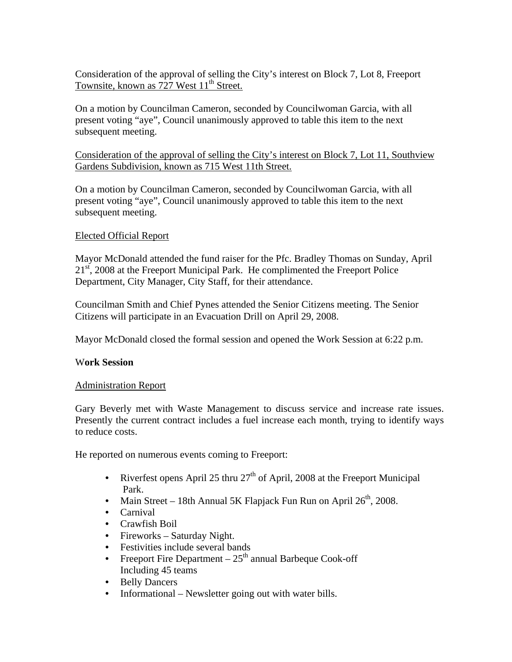Consideration of the approval of selling the City's interest on Block 7, Lot 8, Freeport Townsite, known as 727 West 11<sup>th</sup> Street.

On a motion by Councilman Cameron, seconded by Councilwoman Garcia, with all present voting "aye", Council unanimously approved to table this item to the next subsequent meeting.

Consideration of the approval of selling the City's interest on Block 7, Lot 11, Southview Gardens Subdivision, known as 715 West 11th Street.

On a motion by Councilman Cameron, seconded by Councilwoman Garcia, with all present voting "aye", Council unanimously approved to table this item to the next subsequent meeting.

### Elected Official Report

Mayor McDonald attended the fund raiser for the Pfc. Bradley Thomas on Sunday, April  $21<sup>st</sup>$ , 2008 at the Freeport Municipal Park. He complimented the Freeport Police Department, City Manager, City Staff, for their attendance.

Councilman Smith and Chief Pynes attended the Senior Citizens meeting. The Senior Citizens will participate in an Evacuation Drill on April 29, 2008.

Mayor McDonald closed the formal session and opened the Work Session at 6:22 p.m.

### W**ork Session**

### Administration Report

Gary Beverly met with Waste Management to discuss service and increase rate issues. Presently the current contract includes a fuel increase each month, trying to identify ways to reduce costs.

He reported on numerous events coming to Freeport:

- Riverfest opens April 25 thru  $27<sup>th</sup>$  of April, 2008 at the Freeport Municipal Park.
- Main Street 18th Annual 5K Flapjack Fun Run on April  $26<sup>th</sup>$ , 2008.
- Carnival
- Crawfish Boil
- Fireworks Saturday Night.
- Festivities include several bands
- Freeport Fire Department  $-25<sup>th</sup>$  annual Barbeque Cook-off Including 45 teams
- Belly Dancers
- Informational Newsletter going out with water bills.